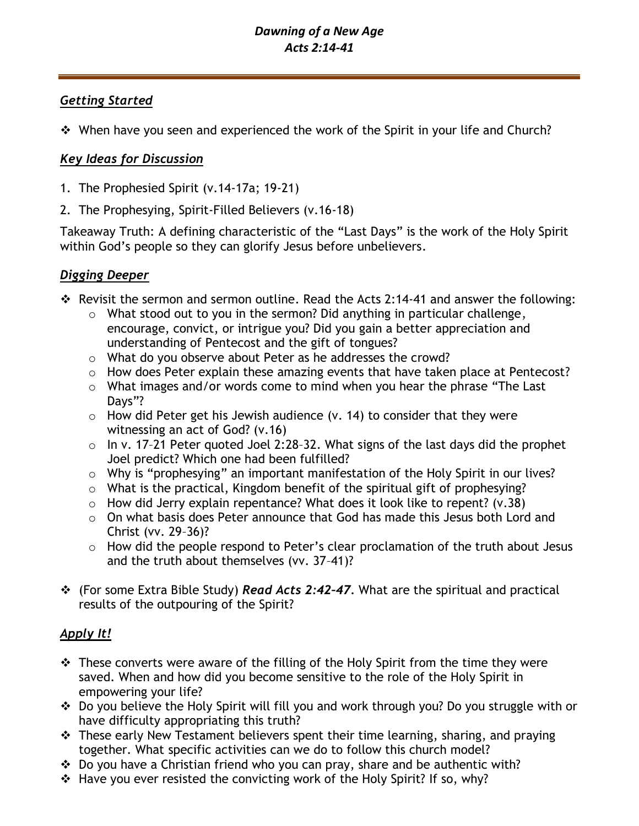# *Getting Started*

❖ When have you seen and experienced the work of the Spirit in your life and Church?

# *Key Ideas for Discussion*

- 1. The Prophesied Spirit (v.14-17a; 19-21)
- 2. The Prophesying, Spirit-Filled Believers (v.16-18)

Takeaway Truth: A defining characteristic of the "Last Days" is the work of the Holy Spirit within God's people so they can glorify Jesus before unbelievers.

# *Digging Deeper*

- ❖ Revisit the sermon and sermon outline. Read the Acts 2:14-41 and answer the following:
	- o What stood out to you in the sermon? Did anything in particular challenge, encourage, convict, or intrigue you? Did you gain a better appreciation and understanding of Pentecost and the gift of tongues?
	- o What do you observe about Peter as he addresses the crowd?
	- o How does Peter explain these amazing events that have taken place at Pentecost?
	- o What images and/or words come to mind when you hear the phrase "The Last Days"?
	- $\circ$  How did Peter get his Jewish audience (v. 14) to consider that they were witnessing an act of God? (v.16)
	- $\circ$  In v. 17-21 Peter quoted Joel 2:28-32. What signs of the last days did the prophet Joel predict? Which one had been fulfilled?
	- o Why is "prophesying" an important manifestation of the Holy Spirit in our lives?
	- o What is the practical, Kingdom benefit of the spiritual gift of prophesying?
	- $\circ$  How did Jerry explain repentance? What does it look like to repent? (v.38)
	- o On what basis does Peter announce that God has made this Jesus both Lord and Christ (vv. 29–36)?
	- o How did the people respond to Peter's clear proclamation of the truth about Jesus and the truth about themselves (vv. 37–41)?
- ❖ (For some Extra Bible Study) *Read Acts 2:42–47.* What are the spiritual and practical results of the outpouring of the Spirit?

# *Apply It!*

- ❖ These converts were aware of the filling of the Holy Spirit from the time they were saved. When and how did you become sensitive to the role of the Holy Spirit in empowering your life?
- ❖ Do you believe the Holy Spirit will fill you and work through you? Do you struggle with or have difficulty appropriating this truth?
- ❖ These early New Testament believers spent their time learning, sharing, and praying together. What specific activities can we do to follow this church model?
- ❖ Do you have a Christian friend who you can pray, share and be authentic with?
- ❖ Have you ever resisted the convicting work of the Holy Spirit? If so, why?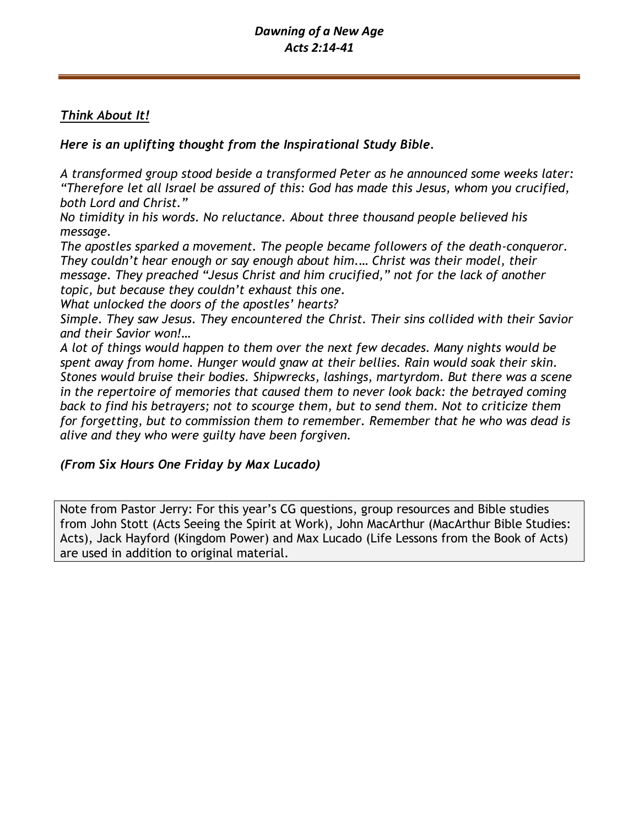# *Think About It!*

*Here is an uplifting thought from the Inspirational Study Bible.* 

*A transformed group stood beside a transformed Peter as he announced some weeks later: "Therefore let all Israel be assured of this: God has made this Jesus, whom you crucified, both Lord and Christ."*

*No timidity in his words. No reluctance. About three thousand people believed his message.*

*The apostles sparked a movement. The people became followers of the death-conqueror. They couldn't hear enough or say enough about him.… Christ was their model, their message. They preached "Jesus Christ and him crucified," not for the lack of another topic, but because they couldn't exhaust this one.*

*What unlocked the doors of the apostles' hearts?*

*Simple. They saw Jesus. They encountered the Christ. Their sins collided with their Savior and their Savior won!…*

*A lot of things would happen to them over the next few decades. Many nights would be spent away from home. Hunger would gnaw at their bellies. Rain would soak their skin. Stones would bruise their bodies. Shipwrecks, lashings, martyrdom. But there was a scene in the repertoire of memories that caused them to never look back: the betrayed coming back to find his betrayers; not to scourge them, but to send them. Not to criticize them for forgetting, but to commission them to remember. Remember that he who was dead is alive and they who were guilty have been forgiven.*

## *(From Six Hours One Friday by Max Lucado)*

Note from Pastor Jerry: For this year's CG questions, group resources and Bible studies from John Stott (Acts Seeing the Spirit at Work), John MacArthur (MacArthur Bible Studies: Acts), Jack Hayford (Kingdom Power) and Max Lucado (Life Lessons from the Book of Acts) are used in addition to original material.